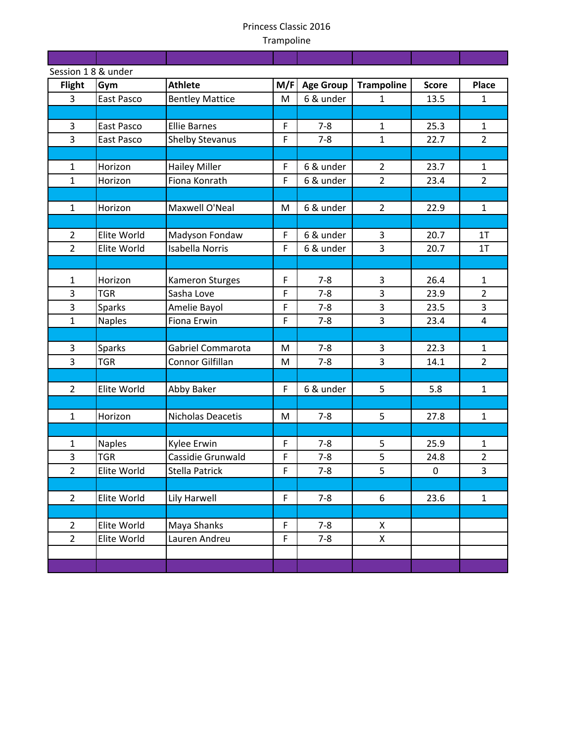T

and the control

T

and the state T

<u> Tanzania (</u>

|                | Session 18 & under |                          |             |                  |                   |              |                |  |
|----------------|--------------------|--------------------------|-------------|------------------|-------------------|--------------|----------------|--|
| <b>Flight</b>  | Gym                | <b>Athlete</b>           | M/F         | <b>Age Group</b> | <b>Trampoline</b> | <b>Score</b> | <b>Place</b>   |  |
| 3              | East Pasco         | <b>Bentley Mattice</b>   | M           | 6 & under        | $\mathbf{1}$      | 13.5         | $\mathbf{1}$   |  |
|                |                    |                          |             |                  |                   |              |                |  |
| 3              | East Pasco         | <b>Ellie Barnes</b>      | $\mathsf F$ | $7 - 8$          | $\mathbf{1}$      | 25.3         | $\mathbf{1}$   |  |
| 3              | East Pasco         | <b>Shelby Stevanus</b>   | F           | $7 - 8$          | $\mathbf{1}$      | 22.7         | $\overline{2}$ |  |
|                |                    |                          |             |                  |                   |              |                |  |
| $\mathbf{1}$   | Horizon            | <b>Hailey Miller</b>     | $\mathsf F$ | 6 & under        | $\overline{2}$    | 23.7         | $\mathbf{1}$   |  |
| $\mathbf{1}$   | Horizon            | Fiona Konrath            | F           | 6 & under        | $\overline{2}$    | 23.4         | $\overline{2}$ |  |
|                |                    |                          |             |                  |                   |              |                |  |
| $\mathbf{1}$   | Horizon            | Maxwell O'Neal           | M           | 6 & under        | $\overline{2}$    | 22.9         | $\mathbf{1}$   |  |
|                |                    |                          |             |                  |                   |              |                |  |
| $\overline{2}$ | Elite World        | Madyson Fondaw           | $\mathsf F$ | 6 & under        | 3                 | 20.7         | 1T             |  |
| $\overline{2}$ | Elite World        | <b>Isabella Norris</b>   | $\mathsf F$ | 6 & under        | 3                 | 20.7         | 1T             |  |
|                |                    |                          |             |                  |                   |              |                |  |
| $\mathbf{1}$   | Horizon            | <b>Kameron Sturges</b>   | $\mathsf F$ | $7 - 8$          | 3                 | 26.4         | $\mathbf{1}$   |  |
| 3              | <b>TGR</b>         | Sasha Love               | F           | $7 - 8$          | 3                 | 23.9         | $\overline{2}$ |  |
| 3              | Sparks             | Amelie Bayol             | $\mathsf F$ | $7 - 8$          | 3                 | 23.5         | $\mathbf{3}$   |  |
| $\mathbf{1}$   | <b>Naples</b>      | Fiona Erwin              | F           | $7 - 8$          | 3                 | 23.4         | $\overline{4}$ |  |
|                |                    |                          |             |                  |                   |              |                |  |
| 3              | Sparks             | <b>Gabriel Commarota</b> | M           | $7 - 8$          | 3                 | 22.3         | $\mathbf{1}$   |  |
| $\overline{3}$ | <b>TGR</b>         | Connor Gilfillan         | M           | $7 - 8$          | 3                 | 14.1         | $\overline{2}$ |  |
|                |                    |                          |             |                  |                   |              |                |  |
| $\overline{2}$ | Elite World        | Abby Baker               | $\mathsf F$ | 6 & under        | 5                 | 5.8          | $\mathbf{1}$   |  |
|                |                    |                          |             |                  |                   |              |                |  |
| $\mathbf{1}$   | Horizon            | Nicholas Deacetis        | M           | $7 - 8$          | 5                 | 27.8         | $\mathbf{1}$   |  |
|                |                    |                          |             |                  |                   |              |                |  |
| $\mathbf{1}$   | <b>Naples</b>      | Kylee Erwin              | $\mathsf F$ | $7 - 8$          | 5                 | 25.9         | $\mathbf 1$    |  |
| 3              | <b>TGR</b>         | Cassidie Grunwald        | F           | $7 - 8$          | 5                 | 24.8         | $\overline{2}$ |  |
| $\overline{2}$ | Elite World        | <b>Stella Patrick</b>    | F           | $7 - 8$          | 5                 | $\mathbf 0$  | $\overline{3}$ |  |
|                |                    |                          |             |                  |                   |              |                |  |
| $\overline{2}$ | Elite World        | Lily Harwell             | $\mathsf F$ | $7 - 8$          | 6                 | 23.6         | $\mathbf{1}$   |  |
|                |                    |                          |             |                  |                   |              |                |  |
| $\overline{2}$ | Elite World        | Maya Shanks              | $\mathsf F$ | $7 - 8$          | X                 |              |                |  |
| $\overline{2}$ | Elite World        | Lauren Andreu            | $\mathsf F$ | $7 - 8$          | X                 |              |                |  |
|                |                    |                          |             |                  |                   |              |                |  |
|                |                    |                          |             |                  |                   |              |                |  |
|                |                    |                          |             |                  |                   |              |                |  |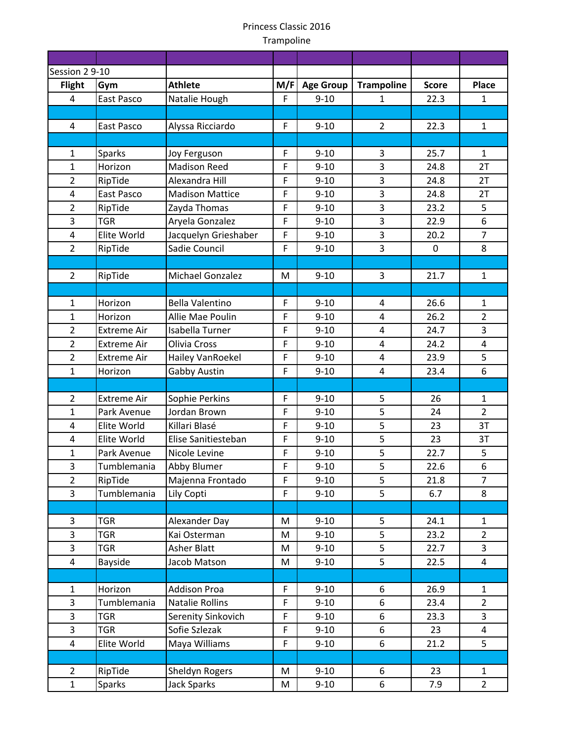| Session 2 9-10          |                            |                                      |              |                      |                         |              |                |
|-------------------------|----------------------------|--------------------------------------|--------------|----------------------|-------------------------|--------------|----------------|
| <b>Flight</b>           | Gym                        | <b>Athlete</b>                       | M/F          | <b>Age Group</b>     | <b>Trampoline</b>       | <b>Score</b> | <b>Place</b>   |
| $\overline{4}$          | East Pasco                 | Natalie Hough                        | F            | $9 - 10$             | $\mathbf{1}$            | 22.3         | $\mathbf{1}$   |
|                         |                            |                                      |              |                      |                         |              |                |
| 4                       | East Pasco                 | Alyssa Ricciardo                     | $\mathsf F$  | $9 - 10$             | $\overline{2}$          | 22.3         | $\mathbf{1}$   |
|                         |                            |                                      |              |                      |                         |              |                |
| $\mathbf{1}$            | <b>Sparks</b>              | Joy Ferguson                         | $\mathsf F$  | $9 - 10$             | 3                       | 25.7         | 1              |
| $\mathbf{1}$            | Horizon                    | <b>Madison Reed</b>                  | F            | $9 - 10$             | 3                       | 24.8         | 2T             |
| $\overline{2}$          | RipTide                    | Alexandra Hill                       | F            | $9 - 10$             | $\overline{3}$          | 24.8         | 2T             |
| $\overline{\mathbf{4}}$ | East Pasco                 | <b>Madison Mattice</b>               | $\mathsf F$  | $9 - 10$             | 3                       | 24.8         | 2T             |
| $\overline{2}$          | RipTide                    | Zayda Thomas                         | F            | $9 - 10$             | 3                       | 23.2         | 5              |
| $\overline{3}$          | <b>TGR</b>                 | Aryela Gonzalez                      | $\mathsf F$  | $9 - 10$             | 3                       | 22.9         | 6              |
| $\overline{\mathbf{4}}$ | Elite World                | Jacquelyn Grieshaber                 | $\mathsf{F}$ | $9 - 10$             | 3                       | 20.2         | $\overline{7}$ |
| $\overline{2}$          | RipTide                    | Sadie Council                        | F            | $9 - 10$             | 3                       | 0            | 8              |
|                         |                            |                                      |              |                      |                         |              |                |
| $\overline{2}$          | RipTide                    | Michael Gonzalez                     | M            | $9 - 10$             | 3                       | 21.7         | $\mathbf{1}$   |
|                         |                            |                                      |              |                      |                         |              |                |
| $\mathbf{1}$            | Horizon                    | <b>Bella Valentino</b>               | $\mathsf F$  | $9 - 10$             | 4                       | 26.6         | $\mathbf{1}$   |
| $\mathbf{1}$            | Horizon                    | Allie Mae Poulin                     | $\mathsf F$  | $9 - 10$             | 4                       | 26.2         | $\overline{2}$ |
| $\overline{2}$          | <b>Extreme Air</b>         | Isabella Turner                      | F            | $9 - 10$             | 4                       | 24.7         | 3              |
| $\overline{2}$          | <b>Extreme Air</b>         | Olivia Cross                         | $\mathsf F$  | $9 - 10$             | 4                       | 24.2         | 4              |
| $\overline{2}$          | <b>Extreme Air</b>         | Hailey VanRoekel                     | $\mathsf F$  | $9 - 10$             | $\overline{\mathbf{4}}$ | 23.9         | 5              |
| $\mathbf{1}$            | Horizon                    | Gabby Austin                         | F            | $9 - 10$             | $\overline{\mathbf{4}}$ | 23.4         | 6              |
|                         |                            |                                      |              |                      |                         |              |                |
| $\overline{2}$          | <b>Extreme Air</b>         | Sophie Perkins                       | $\mathsf F$  | $9 - 10$             | 5                       | 26           | $\mathbf{1}$   |
| $\mathbf{1}$            | Park Avenue                | Jordan Brown                         | $\mathsf F$  | $9 - 10$             | 5                       | 24           | $\overline{2}$ |
| 4                       | Elite World                | Killari Blasé                        | F            | $9 - 10$             | 5<br>$\overline{5}$     | 23           | 3T             |
| $\overline{4}$          | Elite World<br>Park Avenue | Elise Sanitiesteban<br>Nicole Levine | $\mathsf F$  | $9 - 10$<br>$9 - 10$ | 5                       | 23<br>22.7   | 3T<br>5        |
| $\mathbf{1}$<br>3       |                            | Abby Blumer                          | F<br>F       | $9 - 10$             | 5                       |              | 6              |
| $\overline{2}$          | Tumblemania                |                                      | F            | $9 - 10$             | 5                       | 22.6         | $\overline{7}$ |
| $\overline{3}$          | RipTide<br>Tumblemania     | Majenna Frontado<br>Lily Copti       | F            | $9 - 10$             | 5                       | 21.8<br>6.7  | 8              |
|                         |                            |                                      |              |                      |                         |              |                |
| 3                       | <b>TGR</b>                 | Alexander Day                        | M            | $9 - 10$             | 5                       | 24.1         | $\mathbf{1}$   |
| $\overline{3}$          | <b>TGR</b>                 | Kai Osterman                         | M            | $9 - 10$             | 5                       | 23.2         | $\overline{2}$ |
| 3                       | <b>TGR</b>                 | <b>Asher Blatt</b>                   | M            | $9 - 10$             | 5                       | 22.7         | 3              |
| $\overline{4}$          | Bayside                    | Jacob Matson                         | M            | $9 - 10$             | 5                       | 22.5         | $\overline{4}$ |
|                         |                            |                                      |              |                      |                         |              |                |
| $\mathbf{1}$            | Horizon                    | <b>Addison Proa</b>                  | $\mathsf F$  | $9 - 10$             | 6                       | 26.9         | $\mathbf{1}$   |
| $\overline{3}$          | Tumblemania                | <b>Natalie Rollins</b>               | F            | $9 - 10$             | 6                       | 23.4         | $\overline{2}$ |
| 3                       | <b>TGR</b>                 | Serenity Sinkovich                   | $\mathsf F$  | $9 - 10$             | 6                       | 23.3         | $\overline{3}$ |
| $\overline{3}$          | <b>TGR</b>                 | Sofie Szlezak                        | F            | $9 - 10$             | 6                       | 23           | 4              |
| $\overline{\mathbf{4}}$ | Elite World                | Maya Williams                        | F            | $9 - 10$             | 6                       | 21.2         | 5              |
|                         |                            |                                      |              |                      |                         |              |                |
| $\overline{2}$          | RipTide                    | Sheldyn Rogers                       | M            | $9 - 10$             | 6                       | 23           | 1              |
| $\mathbf{1}$            | <b>Sparks</b>              | <b>Jack Sparks</b>                   | M            | $9 - 10$             | 6                       | 7.9          | $\overline{2}$ |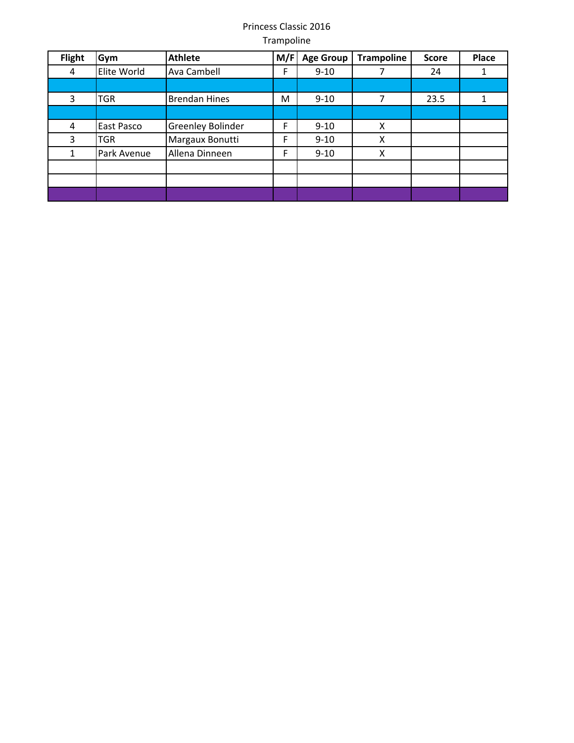| <b>Flight</b> | Gym         | <b>Athlete</b>           | M/F | <b>Age Group</b> | <b>Trampoline</b> | <b>Score</b> | Place |
|---------------|-------------|--------------------------|-----|------------------|-------------------|--------------|-------|
| 4             | Elite World | Ava Cambell              | F   | $9 - 10$         |                   | 24           |       |
|               |             |                          |     |                  |                   |              |       |
| 3             | TGR         | <b>Brendan Hines</b>     | м   | $9 - 10$         | 7                 | 23.5         |       |
|               |             |                          |     |                  |                   |              |       |
| 4             | East Pasco  | <b>Greenley Bolinder</b> | F   | $9 - 10$         | X                 |              |       |
| 3             | <b>TGR</b>  | Margaux Bonutti          | F   | $9 - 10$         | X                 |              |       |
|               | Park Avenue | Allena Dinneen           | F   | $9 - 10$         | Χ                 |              |       |
|               |             |                          |     |                  |                   |              |       |
|               |             |                          |     |                  |                   |              |       |
|               |             |                          |     |                  |                   |              |       |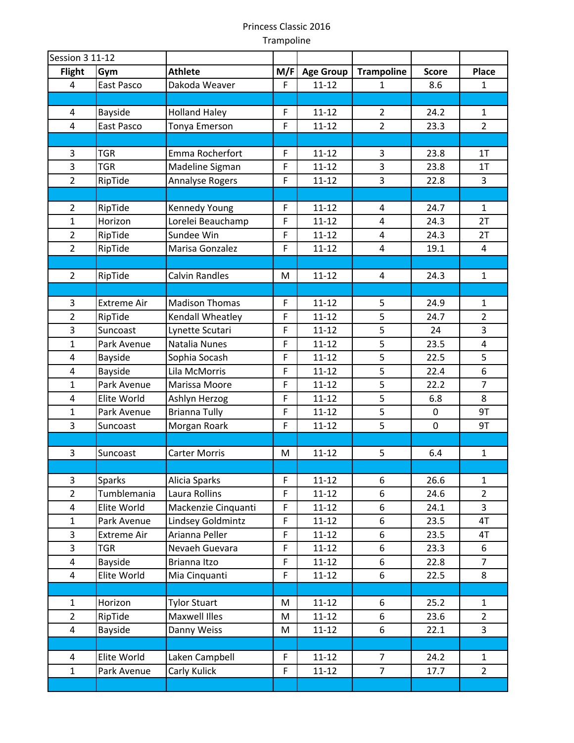| <b>Session 3 11-12</b>  |                    |                       |             |                  |                   |              |                |
|-------------------------|--------------------|-----------------------|-------------|------------------|-------------------|--------------|----------------|
| <b>Flight</b>           | Gym                | <b>Athlete</b>        | M/F         | <b>Age Group</b> | <b>Trampoline</b> | <b>Score</b> | Place          |
| 4                       | East Pasco         | Dakoda Weaver         | F           | $11 - 12$        | 1                 | 8.6          | $\mathbf{1}$   |
|                         |                    |                       |             |                  |                   |              |                |
| 4                       | Bayside            | <b>Holland Haley</b>  | F           | $11 - 12$        | $\overline{2}$    | 24.2         | $\mathbf{1}$   |
| 4                       | East Pasco         | Tonya Emerson         | $\mathsf F$ | $11 - 12$        | $\overline{2}$    | 23.3         | $2^{\circ}$    |
|                         |                    |                       |             |                  |                   |              |                |
| 3                       | <b>TGR</b>         | Emma Rocherfort       | F           | $11 - 12$        | 3                 | 23.8         | 1T             |
| 3                       | <b>TGR</b>         | Madeline Sigman       | $\mathsf F$ | $11 - 12$        | 3                 | 23.8         | 1T             |
| $\overline{2}$          | RipTide            | Annalyse Rogers       | $\mathsf F$ | $11 - 12$        | 3                 | 22.8         | $\overline{3}$ |
|                         |                    |                       |             |                  |                   |              |                |
| $\overline{2}$          | RipTide            | Kennedy Young         | F           | $11 - 12$        | 4                 | 24.7         | 1              |
| $\mathbf{1}$            | Horizon            | Lorelei Beauchamp     | $\mathsf F$ | $11 - 12$        | 4                 | 24.3         | 2T             |
| $\overline{2}$          | RipTide            | Sundee Win            | $\mathsf F$ | $11 - 12$        | 4                 | 24.3         | 2T             |
| $\overline{2}$          | RipTide            | Marisa Gonzalez       | $\mathsf F$ | $11 - 12$        | $\overline{4}$    | 19.1         | $\overline{4}$ |
|                         |                    |                       |             |                  |                   |              |                |
| $\overline{2}$          | RipTide            | <b>Calvin Randles</b> | M           | $11 - 12$        | 4                 | 24.3         | $\mathbf{1}$   |
|                         |                    |                       |             |                  |                   |              |                |
| 3                       | <b>Extreme Air</b> | <b>Madison Thomas</b> | $\mathsf F$ | $11 - 12$        | 5                 | 24.9         | $\mathbf{1}$   |
| $\overline{2}$          | RipTide            | Kendall Wheatley      | $\mathsf F$ | $11 - 12$        | 5                 | 24.7         | $\overline{2}$ |
| 3                       | Suncoast           | Lynette Scutari       | $\mathsf F$ | $11 - 12$        | 5                 | 24           | $\overline{3}$ |
| $\mathbf{1}$            | Park Avenue        | Natalia Nunes         | $\mathsf F$ | $11 - 12$        | 5                 | 23.5         | 4              |
| 4                       | Bayside            | Sophia Socash         | $\mathsf F$ | $11 - 12$        | 5                 | 22.5         | 5              |
| 4                       | Bayside            | Lila McMorris         | $\mathsf F$ | $11 - 12$        | 5                 | 22.4         | 6              |
| $\mathbf{1}$            | Park Avenue        | Marissa Moore         | F           | $11 - 12$        | 5                 | 22.2         | $\overline{7}$ |
| $\overline{4}$          | Elite World        | Ashlyn Herzog         | $\mathsf F$ | $11 - 12$        | $\overline{5}$    | 6.8          | 8              |
| $\mathbf 1$             | Park Avenue        | <b>Brianna Tully</b>  | $\mathsf F$ | $11 - 12$        | 5                 | 0            | 9T             |
| 3                       | Suncoast           | Morgan Roark          | $\mathsf F$ | $11 - 12$        | 5                 | $\mathbf 0$  | 9T             |
|                         |                    |                       |             |                  |                   |              |                |
| 3                       | Suncoast           | <b>Carter Morris</b>  | M           | $11 - 12$        | 5                 | 6.4          | $\mathbf{1}$   |
|                         |                    |                       |             |                  |                   |              |                |
| 3                       | Sparks             | Alicia Sparks         | $\mathsf F$ | $11 - 12$        | 6                 | 26.6         | $\mathbf{1}$   |
| $\overline{2}$          | Tumblemania        | Laura Rollins         | $\mathsf F$ | $11 - 12$        | 6                 | 24.6         | $\overline{2}$ |
| $\overline{\mathbf{4}}$ | Elite World        | Mackenzie Cinquanti   | $\mathsf F$ | $11 - 12$        | 6                 | 24.1         | 3              |
| $\mathbf 1$             | Park Avenue        | Lindsey Goldmintz     | $\mathsf F$ | $11 - 12$        | 6                 | 23.5         | 4T             |
| $\overline{3}$          | <b>Extreme Air</b> | Arianna Peller        | $\mathsf F$ | $11 - 12$        | 6                 | 23.5         | 4T             |
| 3                       | <b>TGR</b>         | Nevaeh Guevara        | $\mathsf F$ | $11 - 12$        | 6                 | 23.3         | 6              |
| 4                       | Bayside            | Brianna Itzo          | $\mathsf F$ | $11 - 12$        | 6                 | 22.8         | $\overline{7}$ |
| 4                       | Elite World        | Mia Cinquanti         | $\mathsf F$ | $11 - 12$        | 6                 | 22.5         | 8              |
|                         |                    |                       |             |                  |                   |              |                |
| $\mathbf 1$             | Horizon            | <b>Tylor Stuart</b>   | M           | $11 - 12$        | 6                 | 25.2         | $\mathbf{1}$   |
| $\overline{2}$          | RipTide            | Maxwell Illes         | M           | $11 - 12$        | 6                 | 23.6         | $\overline{2}$ |
| 4                       | Bayside            | Danny Weiss           | M           | $11 - 12$        | 6                 | 22.1         | 3              |
|                         |                    |                       |             |                  |                   |              |                |
| 4                       | Elite World        | Laken Campbell        | $\mathsf F$ | $11 - 12$        | $\overline{7}$    | 24.2         | $\mathbf{1}$   |
| $\mathbf{1}$            | Park Avenue        | Carly Kulick          | $\mathsf F$ | $11 - 12$        | $\overline{7}$    | 17.7         | $\overline{2}$ |
|                         |                    |                       |             |                  |                   |              |                |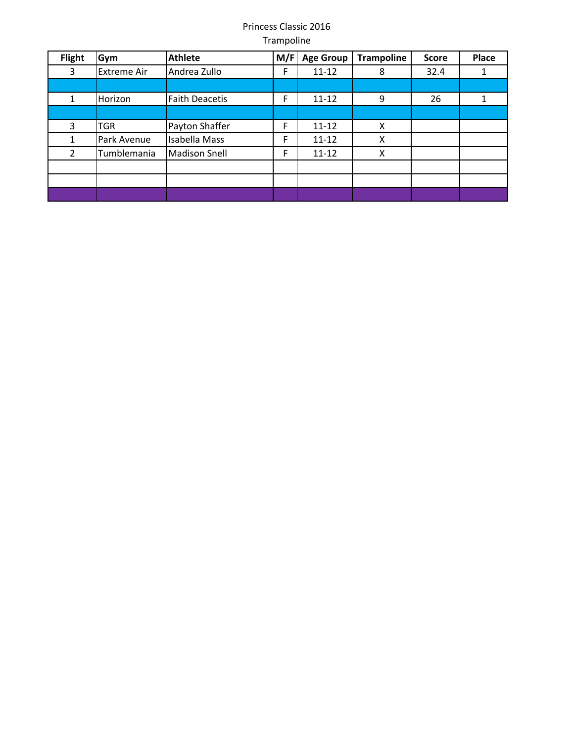| <b>Flight</b>  | Gym                | <b>Athlete</b>        | M/F | <b>Age Group</b> | <b>Trampoline</b> | <b>Score</b> | Place |
|----------------|--------------------|-----------------------|-----|------------------|-------------------|--------------|-------|
| 3              | <b>Extreme Air</b> | Andrea Zullo          | F   | $11 - 12$        | 8                 | 32.4         |       |
|                |                    |                       |     |                  |                   |              |       |
|                | Horizon            | <b>Faith Deacetis</b> | F   | $11 - 12$        | 9                 | 26           |       |
|                |                    |                       |     |                  |                   |              |       |
| 3              | TGR                | Payton Shaffer        | F   | $11 - 12$        | X                 |              |       |
|                | Park Avenue        | <b>Isabella Mass</b>  | F   | $11 - 12$        | X                 |              |       |
| $\overline{2}$ | Tumblemania        | <b>Madison Snell</b>  | F   | $11 - 12$        | X                 |              |       |
|                |                    |                       |     |                  |                   |              |       |
|                |                    |                       |     |                  |                   |              |       |
|                |                    |                       |     |                  |                   |              |       |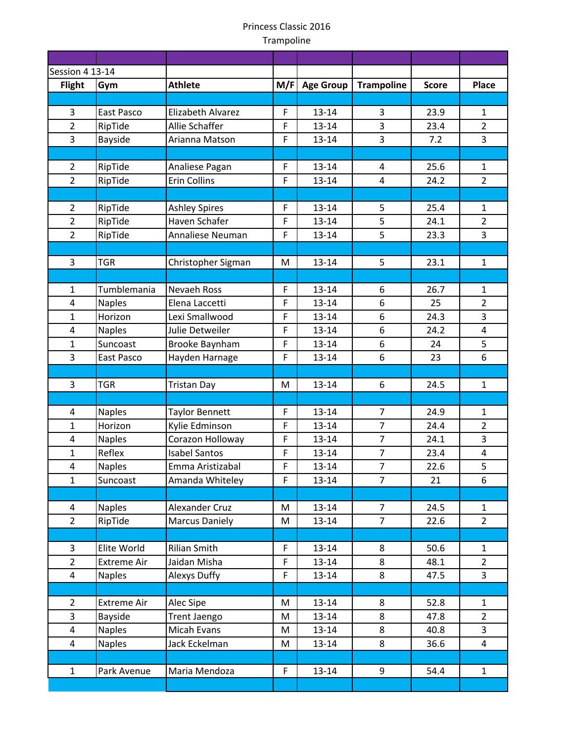| <b>Session 4 13-14</b>         |                    |                       |             |                  |                   |              |                |
|--------------------------------|--------------------|-----------------------|-------------|------------------|-------------------|--------------|----------------|
| <b>Flight</b>                  | Gym                | <b>Athlete</b>        | M/F         | <b>Age Group</b> | <b>Trampoline</b> | <b>Score</b> | <b>Place</b>   |
|                                |                    |                       |             |                  |                   |              |                |
| 3                              | East Pasco         | Elizabeth Alvarez     | $\mathsf F$ | $13 - 14$        | 3                 | 23.9         | $\mathbf{1}$   |
| $\overline{2}$                 | RipTide            | Allie Schaffer        | $\mathsf F$ | $13 - 14$        | 3                 | 23.4         | $\overline{2}$ |
| 3                              | Bayside            | Arianna Matson        | $\mathsf F$ | 13-14            | 3                 | 7.2          | 3              |
|                                |                    |                       |             |                  |                   |              |                |
| $\overline{2}$                 | RipTide            | Analiese Pagan        | $\mathsf F$ | $13 - 14$        | $\overline{a}$    | 25.6         | $\mathbf{1}$   |
| $\overline{2}$                 | RipTide            | <b>Erin Collins</b>   | F           | 13-14            | 4                 | 24.2         | $\overline{2}$ |
|                                |                    |                       |             |                  |                   |              |                |
| $\overline{2}$                 | RipTide            | <b>Ashley Spires</b>  | F           | $13 - 14$        | 5                 | 25.4         | $\mathbf{1}$   |
| $\overline{2}$                 | RipTide            | Haven Schafer         | $\mathsf F$ | 13-14            | 5                 | 24.1         | $\overline{2}$ |
| $\overline{2}$                 | RipTide            | Annaliese Neuman      | F           | 13-14            | 5                 | 23.3         | $\overline{3}$ |
|                                |                    |                       |             |                  |                   |              |                |
| $\overline{3}$                 | <b>TGR</b>         | Christopher Sigman    | M           | $13 - 14$        | 5                 | 23.1         | $\mathbf{1}$   |
|                                |                    |                       |             |                  |                   |              |                |
| $\mathbf{1}$                   | Tumblemania        | Nevaeh Ross           | $\mathsf F$ | $13 - 14$        | 6                 | 26.7         | $\mathbf{1}$   |
| $\overline{4}$                 | <b>Naples</b>      | Elena Laccetti        | $\mathsf F$ | 13-14            | 6                 | 25           | $\overline{2}$ |
| $\mathbf{1}$                   | Horizon            | Lexi Smallwood        | F           | 13-14            | 6                 | 24.3         | 3              |
| 4                              | <b>Naples</b>      | Julie Detweiler       | $\mathsf F$ | $13 - 14$        | 6                 | 24.2         | 4              |
| $\mathbf{1}$                   | Suncoast           | Brooke Baynham        | $\mathsf F$ | $13 - 14$        | 6                 | 24           | 5              |
| 3                              | East Pasco         | Hayden Harnage        | $\mathsf F$ | $13 - 14$        | 6                 | 23           | 6              |
|                                |                    |                       |             |                  |                   |              |                |
| $\overline{3}$                 | <b>TGR</b>         | <b>Tristan Day</b>    | M           | $13 - 14$        | 6                 | 24.5         | $\mathbf{1}$   |
|                                |                    |                       |             |                  |                   |              |                |
| 4                              | <b>Naples</b>      | <b>Taylor Bennett</b> | F           | 13-14            | 7                 | 24.9         | $\mathbf{1}$   |
| $\mathbf{1}$                   | Horizon            | Kylie Edminson        | $\mathsf F$ | $13 - 14$        | $\overline{7}$    | 24.4         | $\overline{2}$ |
| 4                              | <b>Naples</b>      | Corazon Holloway      | $\mathsf F$ | $13 - 14$        | $\overline{7}$    | 24.1         | $\overline{3}$ |
| $\mathbf{1}$<br>$\overline{4}$ | Reflex             | <b>Isabel Santos</b>  | $\mathsf F$ | $13 - 14$        | $\overline{7}$    | 23.4         | 4              |
|                                | <b>Naples</b>      | Emma Aristizabal      | F           | 13-14            | 7                 | 22.6         | 5              |
| $\mathbf{1}$                   | Suncoast           | Amanda Whiteley       | $\mathsf F$ | $13 - 14$        | $\overline{7}$    | 21           | 6              |
|                                | <b>Naples</b>      | Alexander Cruz        | М           | $13 - 14$        | $\overline{7}$    | 24.5         | $\mathbf{1}$   |
| 4<br>$\overline{2}$            | RipTide            | <b>Marcus Daniely</b> | M           | $13 - 14$        | $\overline{7}$    | 22.6         | $\overline{2}$ |
|                                |                    |                       |             |                  |                   |              |                |
| 3                              | Elite World        | <b>Rilian Smith</b>   | F           | $13 - 14$        | 8                 | 50.6         | $\mathbf{1}$   |
| $\overline{2}$                 | <b>Extreme Air</b> | Jaidan Misha          | $\mathsf F$ | $13 - 14$        | 8                 | 48.1         | $\overline{2}$ |
| 4                              | <b>Naples</b>      | <b>Alexys Duffy</b>   | F           | $13 - 14$        | 8                 | 47.5         | 3              |
|                                |                    |                       |             |                  |                   |              |                |
| $\overline{2}$                 | <b>Extreme Air</b> | Alec Sipe             | M           | $13 - 14$        | 8                 | 52.8         | $\mathbf{1}$   |
| $\overline{3}$                 | Bayside            | Trent Jaengo          | M           | $13 - 14$        | 8                 | 47.8         | $\overline{2}$ |
| $\overline{\mathbf{4}}$        | <b>Naples</b>      | Micah Evans           | M           | $13 - 14$        | 8                 | 40.8         | 3              |
| 4                              | <b>Naples</b>      | Jack Eckelman         | M           | $13 - 14$        | 8                 | 36.6         | 4              |
|                                |                    |                       |             |                  |                   |              |                |
| $\mathbf{1}$                   | Park Avenue        | Maria Mendoza         | F           | $13 - 14$        | 9                 | 54.4         | $\mathbf{1}$   |
|                                |                    |                       |             |                  |                   |              |                |
|                                |                    |                       |             |                  |                   |              |                |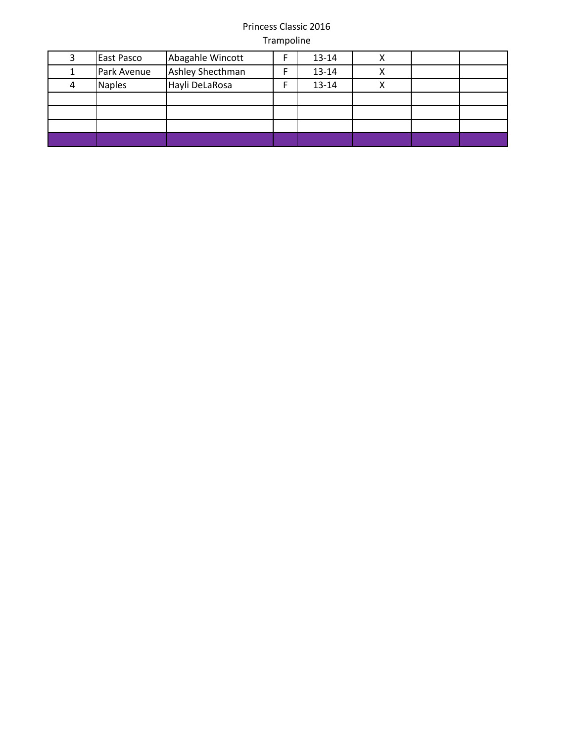| East Pasco    | Abagahle Wincott | $13 - 14$ |  |  |
|---------------|------------------|-----------|--|--|
| Park Avenue   | Ashley Shecthman | 13-14     |  |  |
| <b>Naples</b> | Hayli DeLaRosa   | 13-14     |  |  |
|               |                  |           |  |  |
|               |                  |           |  |  |
|               |                  |           |  |  |
|               |                  |           |  |  |